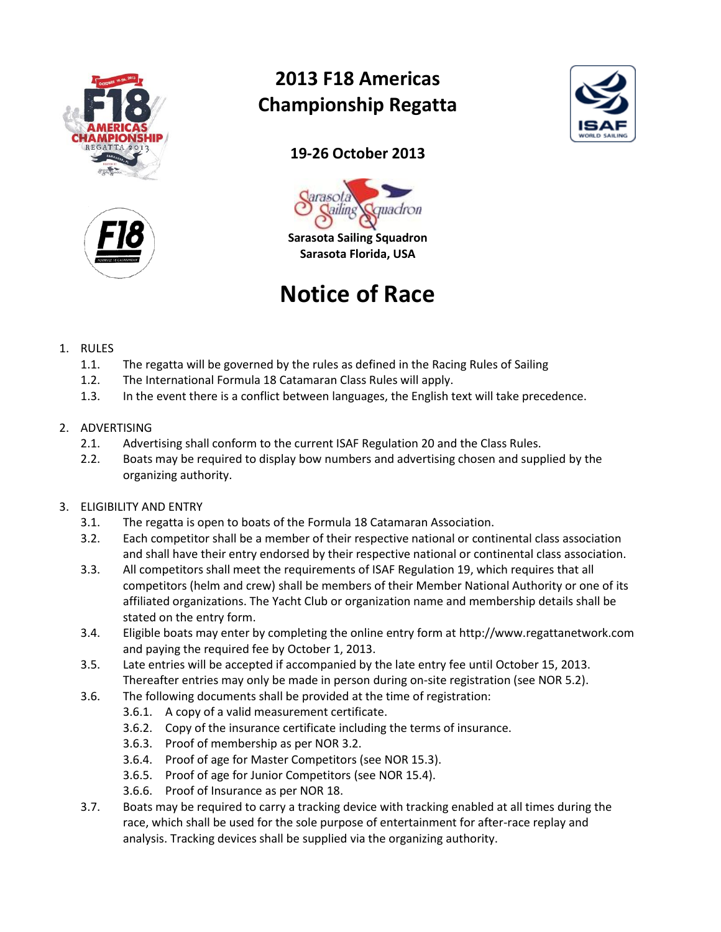



## **2013 F18 Americas Championship Regatta**



## **19-26 October 2013**



**Sarasota Sailing Squadron Sarasota Florida, USA**

# **Notice of Race**

- 1. RULES
	- 1.1. The regatta will be governed by the rules as defined in the Racing Rules of Sailing
	- 1.2. The International Formula 18 Catamaran Class Rules will apply.
	- 1.3. In the event there is a conflict between languages, the English text will take precedence.
- 2. ADVERTISING
	- 2.1. Advertising shall conform to the current ISAF Regulation 20 and the Class Rules.
	- 2.2. Boats may be required to display bow numbers and advertising chosen and supplied by the organizing authority.
- 3. ELIGIBILITY AND ENTRY
	- 3.1. The regatta is open to boats of the Formula 18 Catamaran Association.
	- 3.2. Each competitor shall be a member of their respective national or continental class association and shall have their entry endorsed by their respective national or continental class association.
	- 3.3. All competitors shall meet the requirements of ISAF Regulation 19, which requires that all competitors (helm and crew) shall be members of their Member National Authority or one of its affiliated organizations. The Yacht Club or organization name and membership details shall be stated on the entry form.
	- 3.4. Eligible boats may enter by completing the online entry form at http://www.regattanetwork.com and paying the required fee by October 1, 2013.
	- 3.5. Late entries will be accepted if accompanied by the late entry fee until October 15, 2013. Thereafter entries may only be made in person during on-site registration (see NOR 5.2).
	- 3.6. The following documents shall be provided at the time of registration:
		- 3.6.1. A copy of a valid measurement certificate.
		- 3.6.2. Copy of the insurance certificate including the terms of insurance.
		- 3.6.3. Proof of membership as per NOR 3.2.
		- 3.6.4. Proof of age for Master Competitors (see NOR 15.3).
		- 3.6.5. Proof of age for Junior Competitors (see NOR 15.4).
		- 3.6.6. Proof of Insurance as per NOR 18.
	- 3.7. Boats may be required to carry a tracking device with tracking enabled at all times during the race, which shall be used for the sole purpose of entertainment for after-race replay and analysis. Tracking devices shall be supplied via the organizing authority.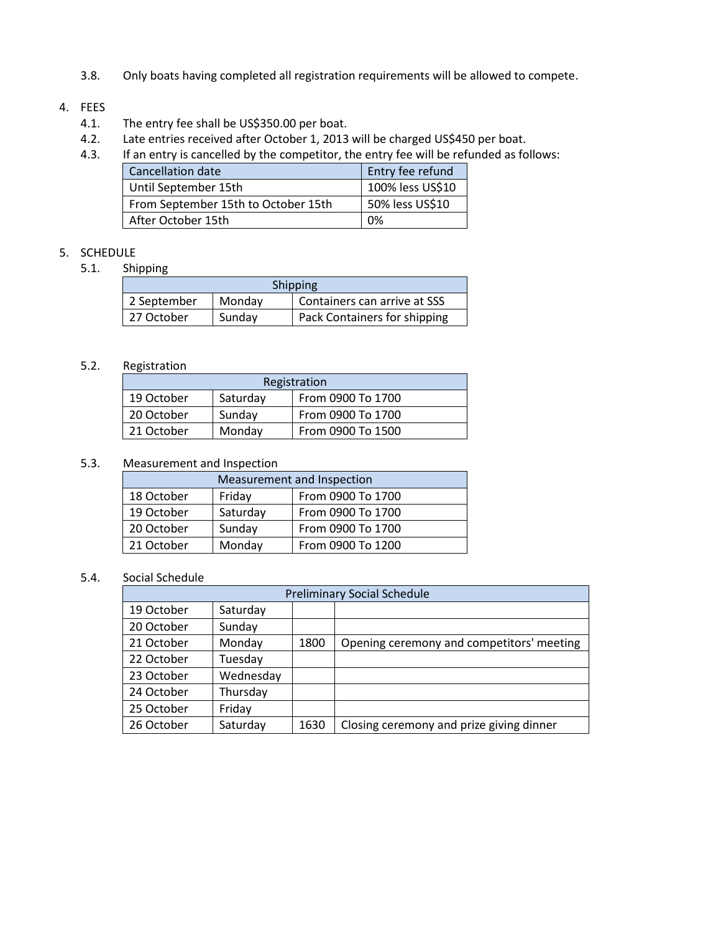3.8. Only boats having completed all registration requirements will be allowed to compete.

#### 4. FEES

- 4.1. The entry fee shall be US\$350.00 per boat.
- 4.2. Late entries received after October 1, 2013 will be charged US\$450 per boat.
- 4.3. If an entry is cancelled by the competitor, the entry fee will be refunded as follows:

| Cancellation date                   | Entry fee refund |
|-------------------------------------|------------------|
| Until September 15th                | 100% less US\$10 |
| From September 15th to October 15th | 50% less US\$10  |
| After October 15th                  | 0%               |

## 5. SCHEDULE

5.1. Shipping

| <b>Shipping</b> |        |                              |
|-----------------|--------|------------------------------|
| 2 September     | Monday | Containers can arrive at SSS |
| 27 October      | Sunday | Pack Containers for shipping |

## 5.2. Registration

| Registration |          |                   |
|--------------|----------|-------------------|
| 19 October   | Saturday | From 0900 To 1700 |
| 20 October   | Sunday   | From 0900 To 1700 |
| 21 October   | Monday   | From 0900 To 1500 |

#### 5.3. Measurement and Inspection

| Measurement and Inspection |          |                   |  |
|----------------------------|----------|-------------------|--|
| 18 October                 | Friday   | From 0900 To 1700 |  |
| 19 October                 | Saturday | From 0900 To 1700 |  |
| 20 October                 | Sunday   | From 0900 To 1700 |  |
| 21 October                 | Monday   | From 0900 To 1200 |  |

## 5.4. Social Schedule

| <b>Preliminary Social Schedule</b> |           |      |                                           |
|------------------------------------|-----------|------|-------------------------------------------|
| 19 October                         | Saturday  |      |                                           |
| 20 October                         | Sunday    |      |                                           |
| 21 October                         | Monday    | 1800 | Opening ceremony and competitors' meeting |
| 22 October                         | Tuesday   |      |                                           |
| 23 October                         | Wednesday |      |                                           |
| 24 October                         | Thursday  |      |                                           |
| 25 October                         | Friday    |      |                                           |
| 26 October                         | Saturday  | 1630 | Closing ceremony and prize giving dinner  |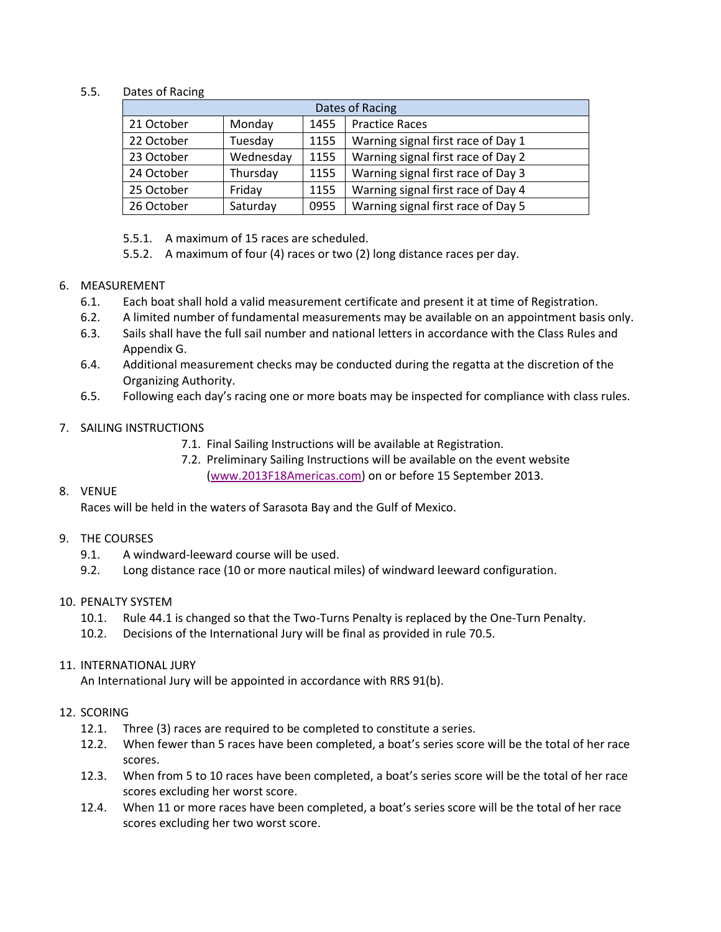#### 5.5. Dates of Racing

| Dates of Racing |           |      |                                    |
|-----------------|-----------|------|------------------------------------|
| 21 October      | Monday    | 1455 | <b>Practice Races</b>              |
| 22 October      | Tuesday   | 1155 | Warning signal first race of Day 1 |
| 23 October      | Wednesday | 1155 | Warning signal first race of Day 2 |
| 24 October      | Thursday  | 1155 | Warning signal first race of Day 3 |
| 25 October      | Friday    | 1155 | Warning signal first race of Day 4 |
| 26 October      | Saturday  | 0955 | Warning signal first race of Day 5 |

- 5.5.1. A maximum of 15 races are scheduled.
- 5.5.2. A maximum of four (4) races or two (2) long distance races per day.

#### 6. MEASUREMENT

- 6.1. Each boat shall hold a valid measurement certificate and present it at time of Registration.
- 6.2. A limited number of fundamental measurements may be available on an appointment basis only.
- 6.3. Sails shall have the full sail number and national letters in accordance with the Class Rules and Appendix G.
- 6.4. Additional measurement checks may be conducted during the regatta at the discretion of the Organizing Authority.
- 6.5. Following each day's racing one or more boats may be inspected for compliance with class rules.

#### 7. SAILING INSTRUCTIONS

- 7.1. Final Sailing Instructions will be available at Registration.
- 7.2. Preliminary Sailing Instructions will be available on the event website [\(www.2013F18Americas.com\)](http://www.2013f18americas.com/) on or before 15 September 2013.

#### 8. VENUE

Races will be held in the waters of Sarasota Bay and the Gulf of Mexico.

#### 9. THE COURSES

- 9.1. A windward-leeward course will be used.
- 9.2. Long distance race (10 or more nautical miles) of windward leeward configuration.

#### 10. PENALTY SYSTEM

- 10.1. Rule 44.1 is changed so that the Two-Turns Penalty is replaced by the One-Turn Penalty.
- 10.2. Decisions of the International Jury will be final as provided in rule 70.5.

#### 11. INTERNATIONAL JURY

An International Jury will be appointed in accordance with RRS 91(b).

#### 12. SCORING

- 12.1. Three (3) races are required to be completed to constitute a series.
- 12.2. When fewer than 5 races have been completed, a boat's series score will be the total of her race scores.
- 12.3. When from 5 to 10 races have been completed, a boat's series score will be the total of her race scores excluding her worst score.
- 12.4. When 11 or more races have been completed, a boat's series score will be the total of her race scores excluding her two worst score.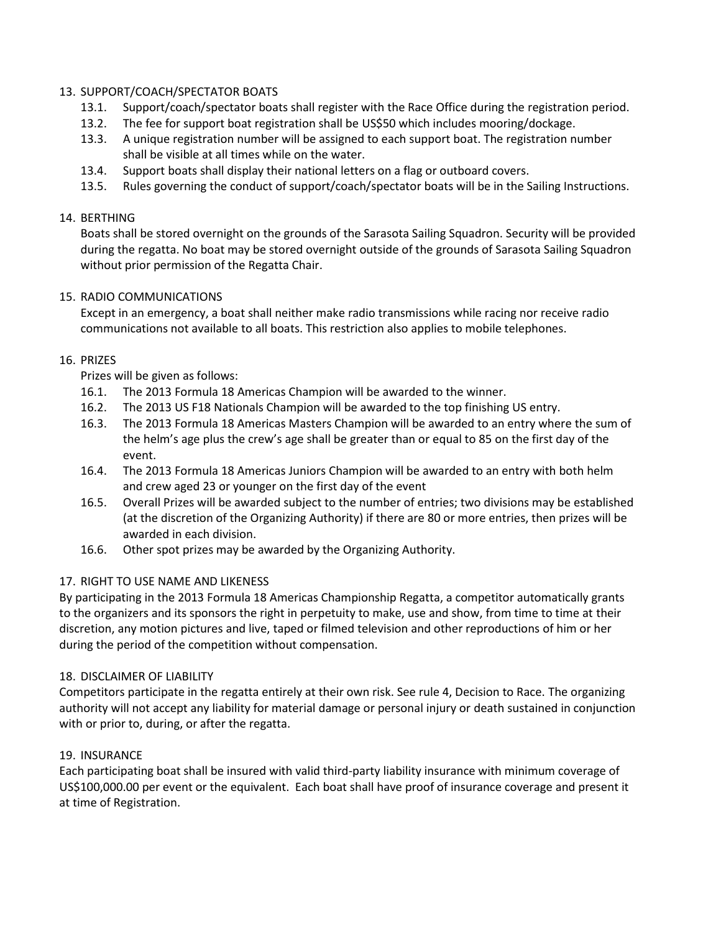#### 13. SUPPORT/COACH/SPECTATOR BOATS

- 13.1. Support/coach/spectator boats shall register with the Race Office during the registration period.
- 13.2. The fee for support boat registration shall be US\$50 which includes mooring/dockage.
- 13.3. A unique registration number will be assigned to each support boat. The registration number shall be visible at all times while on the water.
- 13.4. Support boats shall display their national letters on a flag or outboard covers.
- 13.5. Rules governing the conduct of support/coach/spectator boats will be in the Sailing Instructions.

#### 14. BERTHING

Boats shall be stored overnight on the grounds of the Sarasota Sailing Squadron. Security will be provided during the regatta. No boat may be stored overnight outside of the grounds of Sarasota Sailing Squadron without prior permission of the Regatta Chair.

#### 15. RADIO COMMUNICATIONS

Except in an emergency, a boat shall neither make radio transmissions while racing nor receive radio communications not available to all boats. This restriction also applies to mobile telephones.

#### 16. PRIZES

Prizes will be given as follows:

- 16.1. The 2013 Formula 18 Americas Champion will be awarded to the winner.
- 16.2. The 2013 US F18 Nationals Champion will be awarded to the top finishing US entry.
- 16.3. The 2013 Formula 18 Americas Masters Champion will be awarded to an entry where the sum of the helm's age plus the crew's age shall be greater than or equal to 85 on the first day of the event.
- 16.4. The 2013 Formula 18 Americas Juniors Champion will be awarded to an entry with both helm and crew aged 23 or younger on the first day of the event
- 16.5. Overall Prizes will be awarded subject to the number of entries; two divisions may be established (at the discretion of the Organizing Authority) if there are 80 or more entries, then prizes will be awarded in each division.
- 16.6. Other spot prizes may be awarded by the Organizing Authority.

## 17. RIGHT TO USE NAME AND LIKENESS

By participating in the 2013 Formula 18 Americas Championship Regatta, a competitor automatically grants to the organizers and its sponsors the right in perpetuity to make, use and show, from time to time at their discretion, any motion pictures and live, taped or filmed television and other reproductions of him or her during the period of the competition without compensation.

#### 18. DISCLAIMER OF LIABILITY

Competitors participate in the regatta entirely at their own risk. See rule 4, Decision to Race. The organizing authority will not accept any liability for material damage or personal injury or death sustained in conjunction with or prior to, during, or after the regatta.

#### 19. INSURANCE

Each participating boat shall be insured with valid third-party liability insurance with minimum coverage of US\$100,000.00 per event or the equivalent. Each boat shall have proof of insurance coverage and present it at time of Registration.